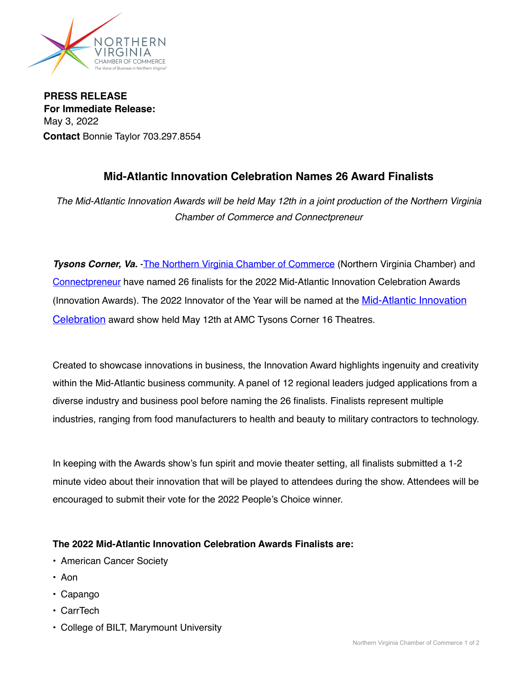

**PRESS RELEASE For Immediate Release:**  May 3, 2022 **Contact** Bonnie Taylor 703.297.8554

## **Mid-Atlantic Innovation Celebration Names 26 Award Finalists**

*The Mid-Atlantic Innovation Awards will be held May 12th in a joint production of the Northern Virginia Chamber of Commerce and Connectpreneur*

**Tysons Corner, Va.** -[The Northern Virginia Chamber of Commerce](https://novachamber.org) (Northern Virginia Chamber) and [Connectpreneur](https://connectpreneur.org) have named 26 finalists for the 2022 Mid-Atlantic Innovation Celebration Awards (Innovation Awards). The 2022 Innovator of the Year will be named at the [Mid-Atlantic Innovation](https://novachamber.org/annual-awards/mid-atlantic-innovation-celebration/)  [Celebration](https://novachamber.org/annual-awards/mid-atlantic-innovation-celebration/) award show held May 12th at AMC Tysons Corner 16 Theatres.

Created to showcase innovations in business, the Innovation Award highlights ingenuity and creativity within the Mid-Atlantic business community. A panel of 12 regional leaders judged applications from a diverse industry and business pool before naming the 26 finalists. Finalists represent multiple industries, ranging from food manufacturers to health and beauty to military contractors to technology.

In keeping with the Awards show's fun spirit and movie theater setting, all finalists submitted a 1-2 minute video about their innovation that will be played to attendees during the show. Attendees will be encouraged to submit their vote for the 2022 People's Choice winner.

## **The 2022 Mid-Atlantic Innovation Celebration Awards Finalists are:**

- American Cancer Society
- Aon
- Capango
- CarrTech
- College of BILT, Marymount University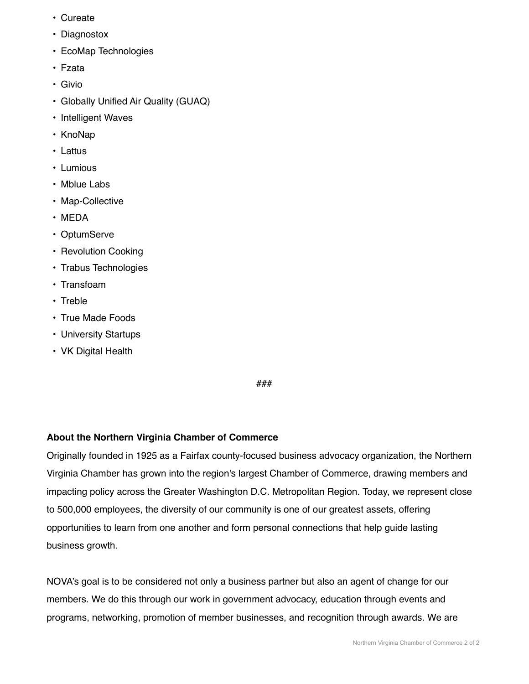- Cureate
- Diagnostox
- EcoMap Technologies
- Fzata
- Givio
- Globally Unified Air Quality (GUAQ)
- Intelligent Waves
- KnoNap
- Lattus
- Lumious
- Mblue Labs
- Map-Collective
- MEDA
- OptumServe
- Revolution Cooking
- Trabus Technologies
- Transfoam
- Treble
- True Made Foods
- University Startups
- VK Digital Health

###

## **About the Northern Virginia Chamber of Commerce**

Originally founded in 1925 as a Fairfax county-focused business advocacy organization, the Northern Virginia Chamber has grown into the region's largest Chamber of Commerce, drawing members and impacting policy across the Greater Washington D.C. Metropolitan Region. Today, we represent close to 500,000 employees, the diversity of our community is one of our greatest assets, offering opportunities to learn from one another and form personal connections that help guide lasting business growth.

NOVA's goal is to be considered not only a business partner but also an agent of change for our members. We do this through our work in government advocacy, education through events and programs, networking, promotion of member businesses, and recognition through awards. We are